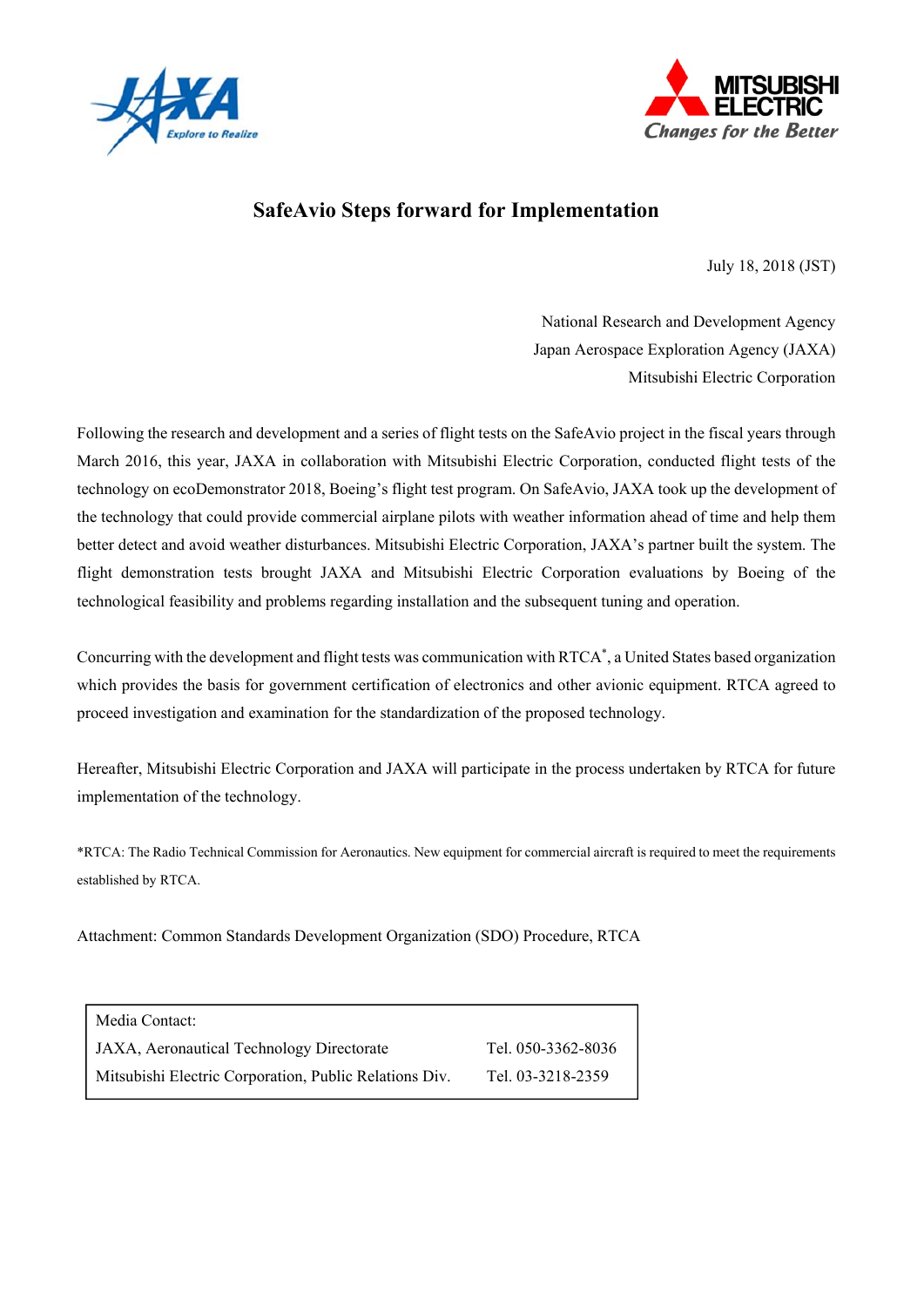



## **SafeAvio Steps forward for Implementation**

July 18, 2018 (JST)

National Research and Development Agency Japan Aerospace Exploration Agency (JAXA) Mitsubishi Electric Corporation

Following the research and development and a series of flight tests on the SafeAvio project in the fiscal years through March 2016, this year, JAXA in collaboration with Mitsubishi Electric Corporation, conducted flight tests of the technology on ecoDemonstrator 2018, Boeing's flight test program. On SafeAvio, JAXA took up the development of the technology that could provide commercial airplane pilots with weather information ahead of time and help them better detect and avoid weather disturbances. Mitsubishi Electric Corporation, JAXA's partner built the system. The flight demonstration tests brought JAXA and Mitsubishi Electric Corporation evaluations by Boeing of the technological feasibility and problems regarding installation and the subsequent tuning and operation.

Concurring with the development and flight tests was communication with RTCA\* , a United States based organization which provides the basis for government certification of electronics and other avionic equipment. RTCA agreed to proceed investigation and examination for the standardization of the proposed technology.

Hereafter, Mitsubishi Electric Corporation and JAXA will participate in the process undertaken by RTCA for future implementation of the technology.

\*RTCA: The Radio Technical Commission for Aeronautics. New equipment for commercial aircraft is required to meet the requirements established by RTCA.

Attachment: Common Standards Development Organization (SDO) Procedure, RTCA

| Media Contact:                                         |                    |
|--------------------------------------------------------|--------------------|
| JAXA, Aeronautical Technology Directorate              | Tel. 050-3362-8036 |
| Mitsubishi Electric Corporation, Public Relations Div. | Tel. 03-3218-2359  |